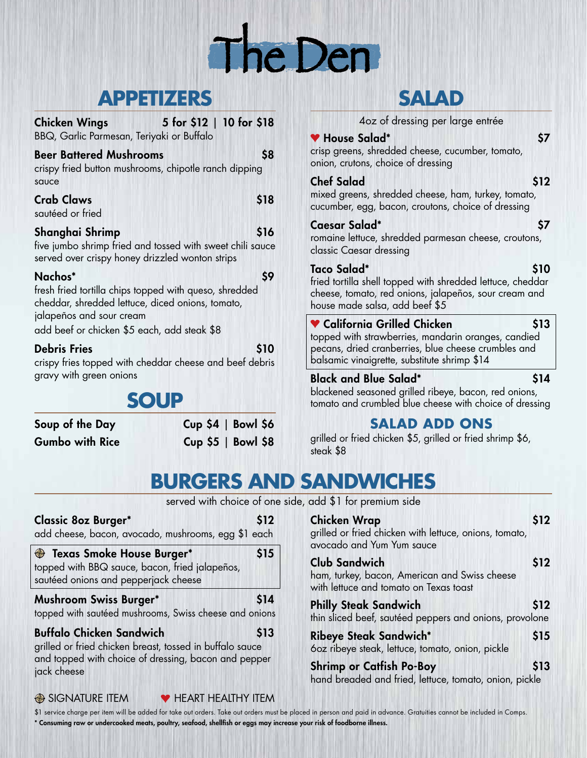

### **APPETIZERS**

| 5 for \$12   10 for \$18<br><b>Chicken Wings</b><br>BBQ, Garlic Parmesan, Teriyaki or Buffalo                                                                                                    |      |
|--------------------------------------------------------------------------------------------------------------------------------------------------------------------------------------------------|------|
| <b>Beer Battered Mushrooms</b><br>crispy fried button mushrooms, chipotle ranch dipping<br>sauce                                                                                                 | 58   |
| <b>Crab Claws</b><br>sautéed or fried                                                                                                                                                            | \$18 |
| Shanghai Shrimp<br>five jumbo shrimp fried and tossed with sweet chili sauce<br>served over crispy honey drizzled wonton strips                                                                  | \$16 |
| Nachos*<br>fresh fried tortilla chips topped with queso, shredded<br>cheddar, shredded lettuce, diced onions, tomato,<br>jalapeños and sour cream<br>add beef or chicken \$5 each, add steak \$8 | \$9  |
| <b>Debris Fries</b>                                                                                                                                                                              |      |

crispy fries topped with cheddar cheese and beef debris gravy with green onions

# **SOUP**

jack cheese

Soup of the Day Cup \$4 | Bowl \$6 Gumbo with Rice Cup \$5 | Bowl \$8

### **SALAD**

4oz of dressing per large entrée

#### ● House Salad\* 57

crisp greens, shredded cheese, cucumber, tomato, onion, crutons, choice of dressing

#### Chef Salad \$12

mixed greens, shredded cheese, ham, turkey, tomato, cucumber, egg, bacon, croutons, choice of dressing

#### Caesar Salad\* \$7

romaine lettuce, shredded parmesan cheese, croutons, classic Caesar dressing

#### Taco Salad\* \$10

fried tortilla shell topped with shredded lettuce, cheddar cheese, tomato, red onions, jalapeños, sour cream and house made salsa, add beef \$5

### $\bullet$  California Grilled Chicken  $\bullet$  \$13

topped with strawberries, mandarin oranges, candied pecans, dried cranberries, blue cheese crumbles and balsamic vinaigrette, substitute shrimp \$14

#### Black and Blue Salad\* \$14

blackened seasoned grilled ribeye, bacon, red onions, tomato and crumbled blue cheese with choice of dressing

### **SALAD ADD ONS**

grilled or fried chicken \$5, grilled or fried shrimp \$6, steak \$8

# **BURGERS AND SANDWICHES**

served with choice of one side, add \$1 for premium side

| <b>Classic 8oz Burger*</b><br>add cheese, bacon, avocado, mushrooms, egg \$1 each                                                                   | \$12 |
|-----------------------------------------------------------------------------------------------------------------------------------------------------|------|
| <b>Exas Smoke House Burger*</b><br>topped with BBQ sauce, bacon, fried jalapeños,<br>sautéed onions and pepperjack cheese                           | \$15 |
| <b>Mushroom Swiss Burger*</b><br>topped with sautéed mushrooms, Swiss cheese and onions                                                             | \$14 |
| <b>Buffalo Chicken Sandwich</b><br>grilled or fried chicken breast, tossed in buffalo sauce<br>and topped with choice of dressing, bacon and pepper | \$13 |

SIGNATURE ITEM **V** HEART HEALTHY ITEM

| \$12                                                            |
|-----------------------------------------------------------------|
| \$12                                                            |
| \$12<br>thin sliced beef, sautéed peppers and onions, provolone |
| \$15                                                            |
| \$13<br>hand breaded and fried, lettuce, tomato, onion, pickle  |
|                                                                 |

\$1 service charge per item will be added for take out orders. Take out orders must be placed in person and paid in advance. Gratuities cannot be included in Comps. \* Consuming raw or undercooked meats, poultry, seafood, shellfish or eggs may increase your risk of foodborne illness.